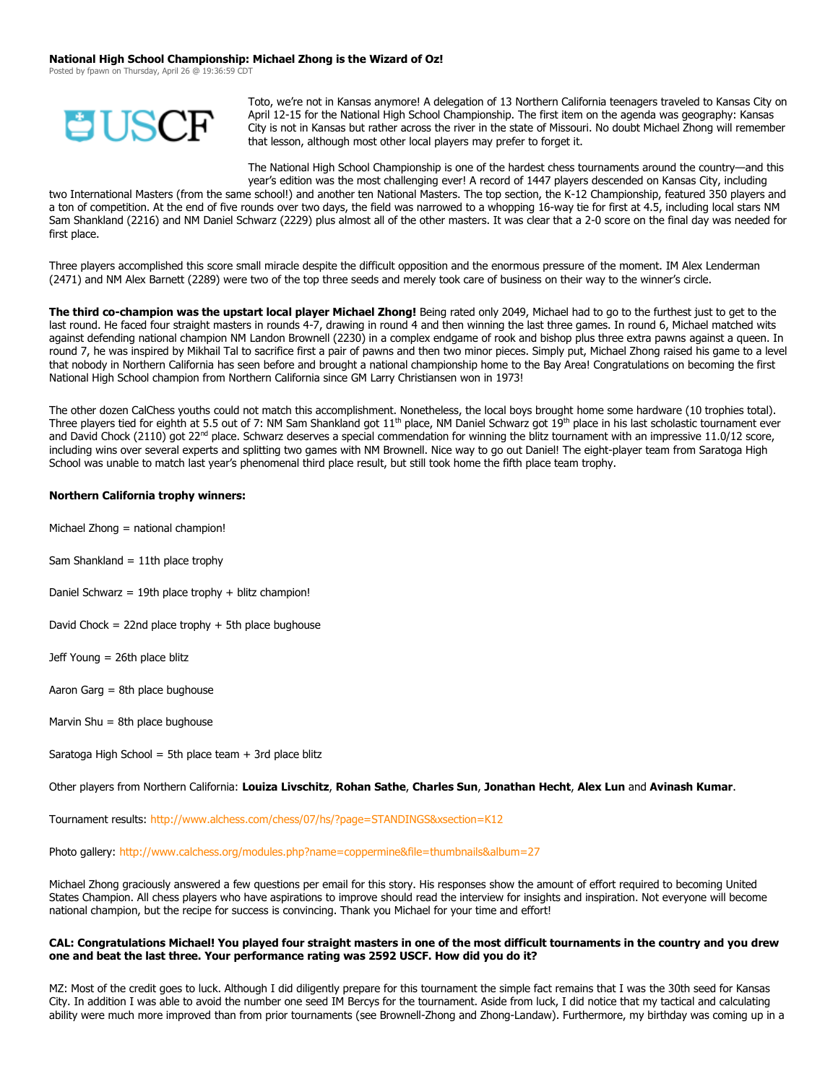#### **National High School Championship: Michael Zhong is the Wizard of Oz!**

Posted by fpawn on Thursday, April 26 @ 19:36:59 C



Toto, we're not in Kansas anymore! A delegation of 13 Northern California teenagers traveled to Kansas City on April 12-15 for the National High School Championship. The first item on the agenda was geography: Kansas City is not in Kansas but rather across the river in the state of Missouri. No doubt Michael Zhong will remember that lesson, although most other local players may prefer to forget it.

The National High School Championship is one of the hardest chess tournaments around the country—and this year's edition was the most challenging ever! A record of 1447 players descended on Kansas City, including

two International Masters (from the same school!) and another ten National Masters. The top section, the K-12 Championship, featured 350 players and a ton of competition. At the end of five rounds over two days, the field was narrowed to a whopping 16-way tie for first at 4.5, including local stars NM Sam Shankland (2216) and NM Daniel Schwarz (2229) plus almost all of the other masters. It was clear that a 2-0 score on the final day was needed for first place.

Three players accomplished this score small miracle despite the difficult opposition and the enormous pressure of the moment. IM Alex Lenderman (2471) and NM Alex Barnett (2289) were two of the top three seeds and merely took care of business on their way to the winner's circle.

**The third co-champion was the upstart local player Michael Zhong!** Being rated only 2049, Michael had to go to the furthest just to get to the last round. He faced four straight masters in rounds 4-7, drawing in round 4 and then winning the last three games. In round 6, Michael matched wits against defending national champion NM Landon Brownell (2230) in a complex endgame of rook and bishop plus three extra pawns against a queen. In round 7, he was inspired by Mikhail Tal to sacrifice first a pair of pawns and then two minor pieces. Simply put, Michael Zhong raised his game to a level that nobody in Northern California has seen before and brought a national championship home to the Bay Area! Congratulations on becoming the first National High School champion from Northern California since GM Larry Christiansen won in 1973!

The other dozen CalChess youths could not match this accomplishment. Nonetheless, the local boys brought home some hardware (10 trophies total). Three players tied for eighth at 5.5 out of 7: NM Sam Shankland got  $11<sup>th</sup>$  place, NM Daniel Schwarz got  $19<sup>th</sup>$  place in his last scholastic tournament ever and David Chock (2110) got  $22^{nd}$  place. Schwarz deserves a special commendation for winning the blitz tournament with an impressive 11.0/12 score, including wins over several experts and splitting two games with NM Brownell. Nice way to go out Daniel! The eight-player team from Saratoga High School was unable to match last year's phenomenal third place result, but still took home the fifth place team trophy.

## **Northern California trophy winners:**

- Michael Zhong = national champion!
- Sam Shankland  $= 11$ th place trophy
- Daniel Schwarz = 19th place trophy + blitz champion!
- David Chock = 22nd place trophy  $+$  5th place bughouse
- Jeff Young = 26th place blitz
- Aaron Garg = 8th place bughouse
- Marvin Shu  $=$  8th place bughouse
- Saratoga High School = 5th place team  $+$  3rd place blitz
- Other players from Northern California: **Louiza Livschitz**, **Rohan Sathe**, **Charles Sun**, **Jonathan Hecht**, **Alex Lun** and **Avinash Kumar**.

Tournament results:<http://www.alchess.com/chess/07/hs/?page=STANDINGS&xsection=K12>

Photo gallery: [http://www.calchess.org/modules.php?name=coppermine&file=thumbnails&album=27](http://www.calchess.orgmodules.php/?name=coppermine&file=thumbnails&album=27)

Michael Zhong graciously answered a few questions per email for this story. His responses show the amount of effort required to becoming United States Champion. All chess players who have aspirations to improve should read the interview for insights and inspiration. Not everyone will become national champion, but the recipe for success is convincing. Thank you Michael for your time and effort!

#### **CAL: Congratulations Michael! You played four straight masters in one of the most difficult tournaments in the country and you drew one and beat the last three. Your performance rating was 2592 USCF. How did you do it?**

MZ: Most of the credit goes to luck. Although I did diligently prepare for this tournament the simple fact remains that I was the 30th seed for Kansas City. In addition I was able to avoid the number one seed IM Bercys for the tournament. Aside from luck, I did notice that my tactical and calculating ability were much more improved than from prior tournaments (see Brownell-Zhong and Zhong-Landaw). Furthermore, my birthday was coming up in a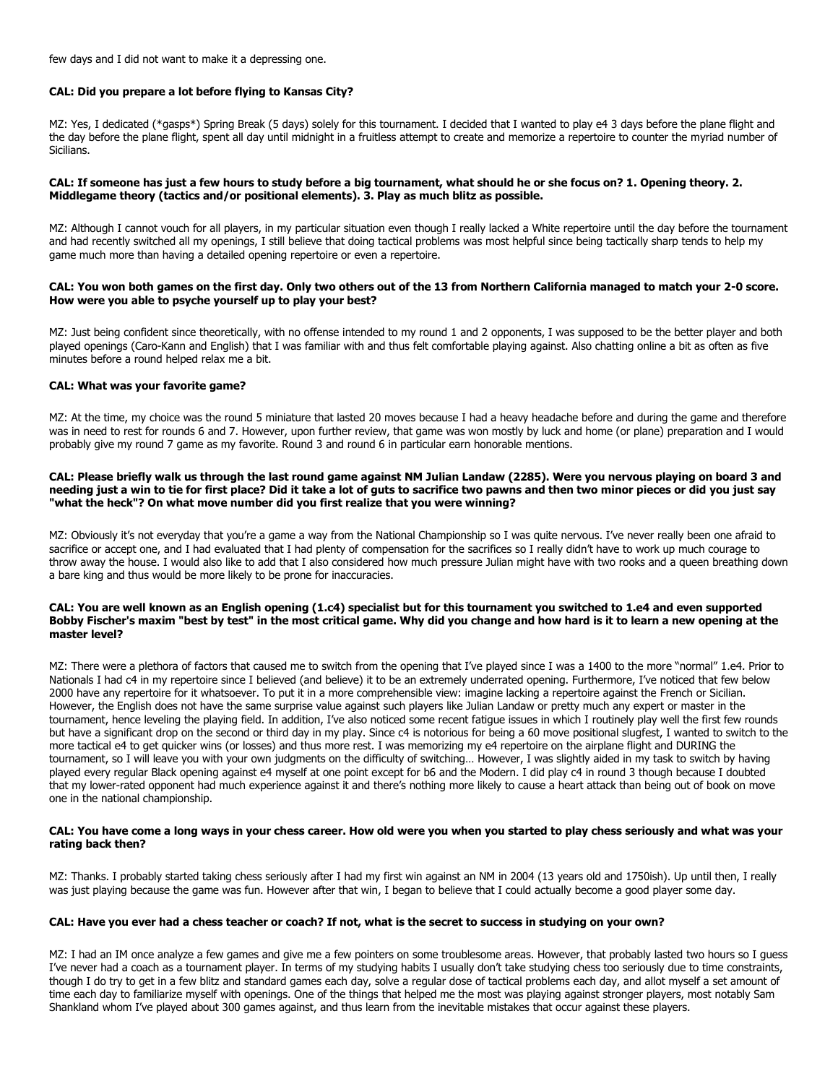few days and I did not want to make it a depressing one.

## **CAL: Did you prepare a lot before flying to Kansas City?**

MZ: Yes, I dedicated (\*gasps\*) Spring Break (5 days) solely for this tournament. I decided that I wanted to play e4 3 days before the plane flight and the day before the plane flight, spent all day until midnight in a fruitless attempt to create and memorize a repertoire to counter the myriad number of **Sicilians.** 

## **CAL: If someone has just a few hours to study before a big tournament, what should he or she focus on? 1. Opening theory. 2. Middlegame theory (tactics and/or positional elements). 3. Play as much blitz as possible.**

MZ: Although I cannot vouch for all players, in my particular situation even though I really lacked a White repertoire until the day before the tournament and had recently switched all my openings, I still believe that doing tactical problems was most helpful since being tactically sharp tends to help my game much more than having a detailed opening repertoire or even a repertoire.

#### **CAL: You won both games on the first day. Only two others out of the 13 from Northern California managed to match your 2-0 score. How were you able to psyche yourself up to play your best?**

MZ: Just being confident since theoretically, with no offense intended to my round 1 and 2 opponents, I was supposed to be the better player and both played openings (Caro-Kann and English) that I was familiar with and thus felt comfortable playing against. Also chatting online a bit as often as five minutes before a round helped relax me a bit.

## **CAL: What was your favorite game?**

MZ: At the time, my choice was the round 5 miniature that lasted 20 moves because I had a heavy headache before and during the game and therefore was in need to rest for rounds 6 and 7. However, upon further review, that game was won mostly by luck and home (or plane) preparation and I would probably give my round 7 game as my favorite. Round 3 and round 6 in particular earn honorable mentions.

#### **CAL: Please briefly walk us through the last round game against NM Julian Landaw (2285). Were you nervous playing on board 3 and needing just a win to tie for first place? Did it take a lot of guts to sacrifice two pawns and then two minor pieces or did you just say "what the heck"? On what move number did you first realize that you were winning?**

MZ: Obviously it's not everyday that you're a game a way from the National Championship so I was quite nervous. I've never really been one afraid to sacrifice or accept one, and I had evaluated that I had plenty of compensation for the sacrifices so I really didn't have to work up much courage to throw away the house. I would also like to add that I also considered how much pressure Julian might have with two rooks and a queen breathing down a bare king and thus would be more likely to be prone for inaccuracies.

#### **CAL: You are well known as an English opening (1.c4) specialist but for this tournament you switched to 1.e4 and even supported Bobby Fischer's maxim "best by test" in the most critical game. Why did you change and how hard is it to learn a new opening at the master level?**

MZ: There were a plethora of factors that caused me to switch from the opening that I've played since I was a 1400 to the more "normal" 1.e4. Prior to Nationals I had c4 in my repertoire since I believed (and believe) it to be an extremely underrated opening. Furthermore, I've noticed that few below 2000 have any repertoire for it whatsoever. To put it in a more comprehensible view: imagine lacking a repertoire against the French or Sicilian. However, the English does not have the same surprise value against such players like Julian Landaw or pretty much any expert or master in the tournament, hence leveling the playing field. In addition, I've also noticed some recent fatigue issues in which I routinely play well the first few rounds but have a significant drop on the second or third day in my play. Since c4 is notorious for being a 60 move positional slugfest, I wanted to switch to the more tactical e4 to get quicker wins (or losses) and thus more rest. I was memorizing my e4 repertoire on the airplane flight and DURING the tournament, so I will leave you with your own judgments on the difficulty of switching… However, I was slightly aided in my task to switch by having played every regular Black opening against e4 myself at one point except for b6 and the Modern. I did play c4 in round 3 though because I doubted that my lower-rated opponent had much experience against it and there's nothing more likely to cause a heart attack than being out of book on move one in the national championship.

#### **CAL: You have come a long ways in your chess career. How old were you when you started to play chess seriously and what was your rating back then?**

MZ: Thanks. I probably started taking chess seriously after I had my first win against an NM in 2004 (13 years old and 1750ish). Up until then, I really was just playing because the game was fun. However after that win, I began to believe that I could actually become a good player some day.

## **CAL: Have you ever had a chess teacher or coach? If not, what is the secret to success in studying on your own?**

MZ: I had an IM once analyze a few games and give me a few pointers on some troublesome areas. However, that probably lasted two hours so I quess I've never had a coach as a tournament player. In terms of my studying habits I usually don't take studying chess too seriously due to time constraints, though I do try to get in a few blitz and standard games each day, solve a regular dose of tactical problems each day, and allot myself a set amount of time each day to familiarize myself with openings. One of the things that helped me the most was playing against stronger players, most notably Sam Shankland whom I've played about 300 games against, and thus learn from the inevitable mistakes that occur against these players.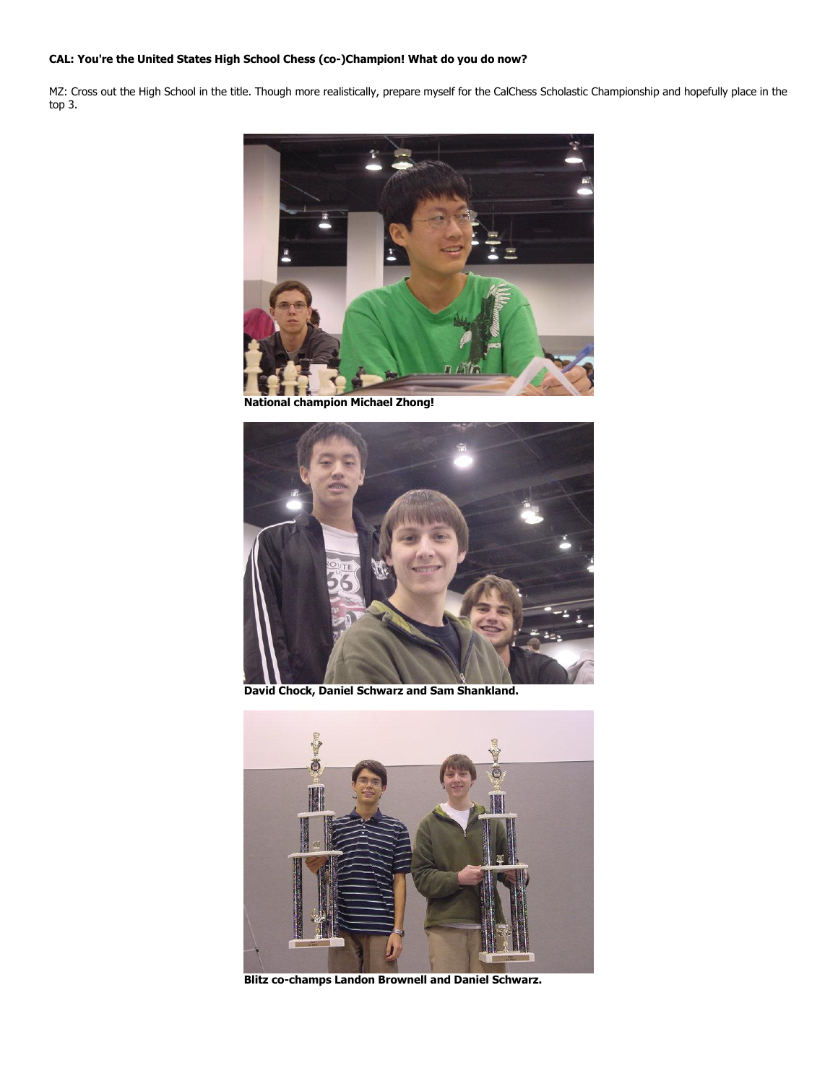# **CAL: You're the United States High School Chess (co-)Champion! What do you do now?**

MZ: Cross out the High School in the title. Though more realistically, prepare myself for the CalChess Scholastic Championship and hopefully place in the top 3.



**National champion Michael Zhong!**



**David Chock, Daniel Schwarz and Sam Shankland.**



**Blitz co-champs Landon Brownell and Daniel Schwarz.**